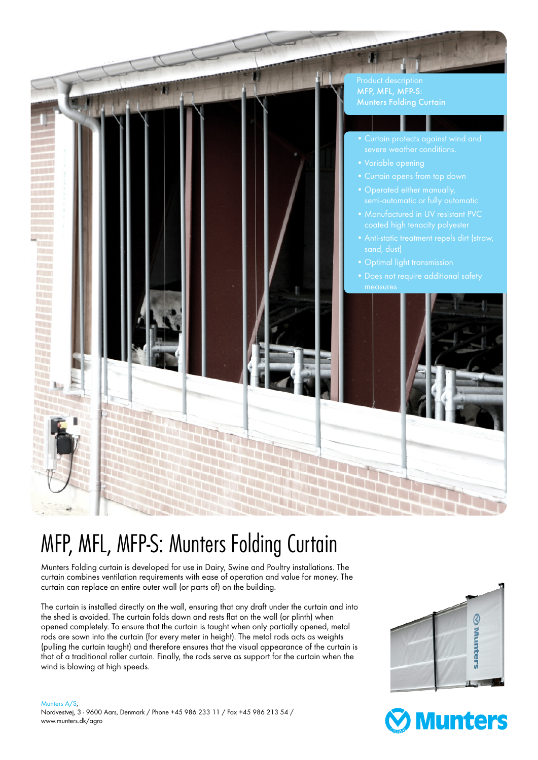

## MFP, MFL, MFP-S: Munters Folding Curtain

Munters Folding curtain is developed for use in Dairy, Swine and Poultry installations. The curtain combines ventilation requirements with ease of operation and value for money. The curtain can replace an entire outer wall (or parts of) on the building.

The curtain is installed directly on the wall, ensuring that any draft under the curtain and into the shed is avoided. The curtain folds down and rests flat on the wall (or plinth) when opened completely. To ensure that the curtain is taught when only partially opened, metal rods are sown into the curtain (for every meter in height). The metal rods acts as weights (pulling the curtain taught) and therefore ensures that the visual appearance of the curtain is that of a traditional roller curtain. Finally, the rods serve as support for the curtain when the wind is blowing at high speeds.

Munters A/S,